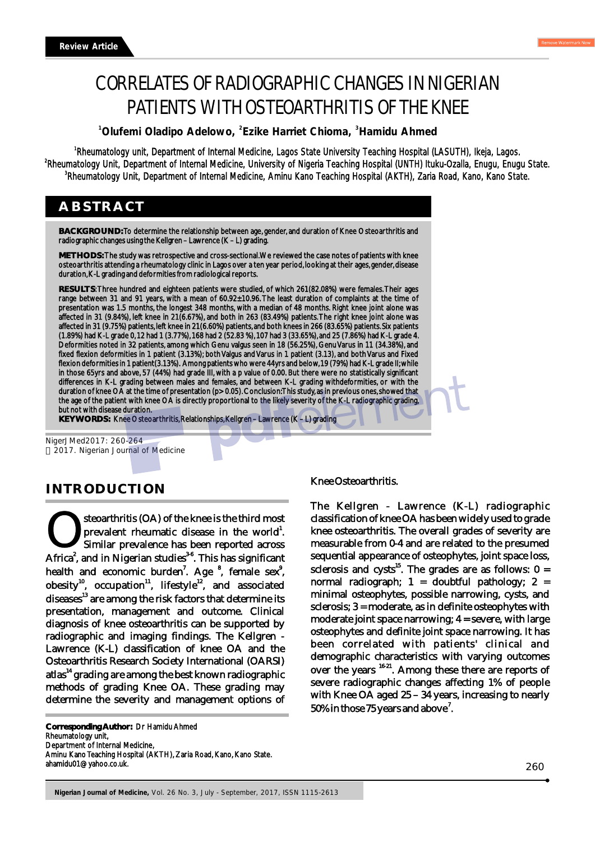# CORRELATES OF RADIOGRAPHIC CHANGES IN NIGERIAN PATIENTS WITH OSTEOARTHRITIS OF THE KNEE

<sup>1</sup> Olufemi Oladipo Adelowo, <sup>2</sup> Ezike Harriet Chioma, <sup>3</sup> Hamidu Ahmed

<sup>1</sup>Rheumatology unit, Department of Internal Medicine, Lagos State University Teaching Hospital (LASUTH), Ikeja, Lagos. <sup>2</sup>Rheumatology Unit, Department of Internal Medicine, University of Nigeria Teaching Hospital (UNTH) Ituku-Ozalla, Enugu, Enugu State. <sup>3</sup>Rheumatology Unit, Department of Internal Medicine, Aminu Kano Teaching Hospital (AKTH), Zaria Road, Kano, Kano State.

## **ABSTRACT**

**BACKGROUND:** To determine the relationship between age, gender, and duration of Knee Osteoarthritis and radiographic changes using the Kellgren – Lawrence (K – L) grading.

**METHODS:** The study was retrospective and cross-sectional. We reviewed the case notes of patients with knee osteoarthritis attending a rheumatology clinic in Lagos over a ten year period, looking at their ages, gender, disease duration, K-L grading and deformities from radiological reports.

**RESULTS**: Three hundred and eighteen patients were studied, of which 261(82.08%) were females. Their ages range between 31 and 91 years, with a mean of 60.92±10.96. The least duration of complaints at the time of presentation was 1.5 months, the longest 348 months, with a median of 48 months. Right knee joint alone was affected in 31 (9.84%), left knee in 21(6.67%), and both in 263 (83.49%) patients. The right knee joint alone was affected in 31 (9.75%) patients, left knee in 21(6.60%) patients, and both knees in 266 (83.65%) patients. Six patients (1.89%) had K-L grade 0, 12 had 1 (3.77%), 168 had 2 (52.83 %), 107 had 3 (33.65%), and 25 (7.86%) had K-L grade 4. Deformities noted in 32 patients, among which Genu valgus seen in 18 (56.25%), Genu Varus in 11 (34.38%), and fixed flexion deformities in 1 patient (3.13%); both Valgus and Varus in 1 patient (3.13), and both Varus and Fixed flexion deformities in 1 patient(3.13%). Among patients who were 44yrs and below, 19 (79%) had K-L grade II; while in those 65yrs and above, 57 (44%) had grade III, with a p value of 0.00. But there were no statistically significant differences in K-L grading between males and females, and between K-L grading withdeformities, or with the duration of knee OA at the time of presentation (p> 0.05). Conclusion: This study, as in previous ones, showed that the age of the patient with knee OA is directly proportional to the likely severity of the K-L radiographic grading, but not with disease duration.

**KEY WORDS:** Knee Osteoarthritis, Relationships, Kellgren – Lawrence (K – L) grading

NigerJMed2017: 260-264 2017. Nigerian Journal of Medicine

## **INTRODUCTION**

steoarthritis (OA) of the knee is the third most **1** Steoarthritis (OA) of the knee is the third most prevalent rheumatic disease in the world<sup>1</sup>.<br>
2 Similar prevalence has been reported across Africa<sup>2</sup>, and in Nigerian studies<sup>36</sup>. This has significant Similar prevalence has been reported across health and economic burden<sup>7</sup>. Age <sup>8</sup>, female sex<sup>9</sup>, obesity<sup>10</sup>, occupation<sup>11</sup>, lifestyle<sup>12</sup>, and associated diseases<sup>13</sup> are among the risk factors that determine its presentation, management and outcome. Clinical diagnosis of knee osteoarthritis can be supported by radiographic and imaging findings. The Kellgren - Lawrence (K-L) classification of knee OA and the Osteoarthritis Research Society International (OARSI) atlas<sup>14</sup> grading are among the best known radiographic methods of grading Knee OA. These grading may determine the severity and management options of

**Corresponding Author:** Dr Hamidu Ahmed

Rheumatology unit,

Department of Internal Medicine,

Aminu Kano Teaching Hospital (AKTH), Zaria Road, Kano, Kano State. ahamidu01@yahoo.co.uk.

#### Knee Osteoarthritis.

The Kellgren - Lawrence (K-L) radiographic classification of knee OA has been widely used to grade knee osteoarthritis. The overall grades of severity are measurable from 0-4 and are related to the presumed sequential appearance of osteophytes, joint space loss, sclerosis and cysts<sup>15</sup>. The grades are as follows:  $0 =$ normal radiograph;  $1 =$  doubtful pathology;  $2 =$ minimal osteophytes, possible narrowing, cysts, and sclerosis; 3 = moderate, as in definite osteophytes with moderate joint space narrowing; 4 = severe, with large osteophytes and definite joint space narrowing. It has been correlated with patients' clinical and demographic characteristics with varying outcomes over the years <sup>16-21</sup>. Among these there are reports of severe radiographic changes affecting 1% of people with Knee OA aged 25 – 34 years, increasing to nearly 50% in those 75 years and above<sup>7</sup>.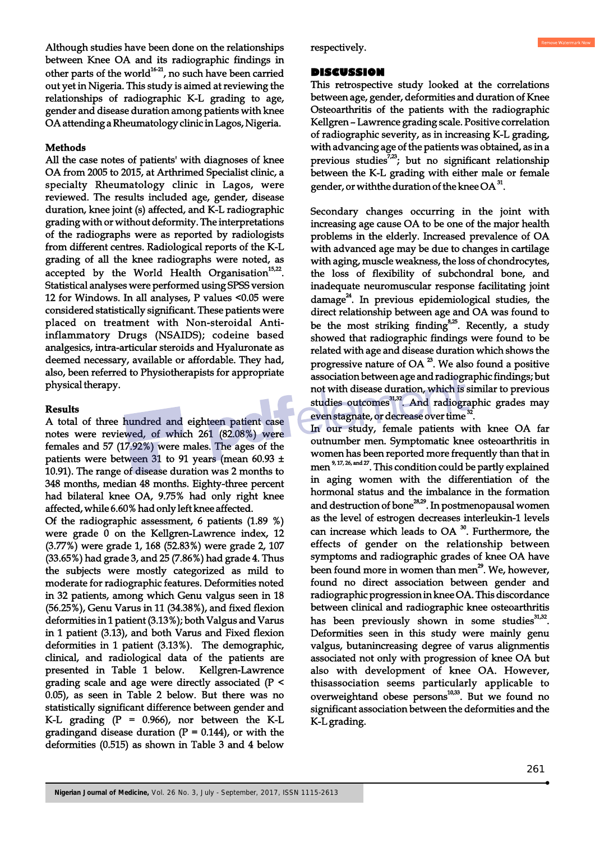Although studies have been done on the relationships between Knee OA and its radiographic findings in other parts of the world<sup>16-21</sup>, no such have been carried out yet in Nigeria. This study is aimed at reviewing the relationships of radiographic K-L grading to age, gender and disease duration among patients with knee OA attending a Rheumatology clinic in Lagos, Nigeria.

#### **Methods**

All the case notes of patients' with diagnoses of knee OA from 2005 to 2015, at Arthrimed Specialist clinic, a specialty Rheumatology clinic in Lagos, were reviewed. The results included age, gender, disease duration, knee joint (s) affected, and K-L radiographic grading with or without deformity. The interpretations of the radiographs were as reported by radiologists from different centres. Radiological reports of the K-L grading of all the knee radiographs were noted, as accepted by the World Health Organisation<sup>15,22</sup>. Statistical analyses were performed using SPSS version 12 for Windows. In all analyses, P values <0.05 were considered statistically significant. These patients were placed on treatment with Non-steroidal Antiinflammatory Drugs (NSAIDS); codeine based analgesics, intra-articular steroids and Hyaluronate as deemed necessary, available or affordable. They had, also, been referred to Physiotherapists for appropriate physical therapy.

#### **Results**

A total of three hundred and eighteen patient case notes were reviewed, of which 261 (82.08%) were females and 57 (17.92%) were males. The ages of the patients were between 31 to 91 years (mean 60.93 ± 10.91). The range of disease duration was 2 months to 348 months, median 48 months. Eighty-three percent had bilateral knee OA, 9.75% had only right knee affected, while 6.60% had only left knee affected.

Of the radiographic assessment, 6 patients (1.89 %) were grade 0 on the Kellgren-Lawrence index, 12 (3.77%) were grade 1, 168 (52.83%) were grade 2, 107 (33.65%) had grade 3, and 25 (7.86%) had grade 4. Thus the subjects were mostly categorized as mild to moderate for radiographic features. Deformities noted in 32 patients, among which Genu valgus seen in 18 (56.25%), Genu Varus in 11 (34.38%), and fixed flexion deformities in 1 patient (3.13%); both Valgus and Varus in 1 patient (3.13), and both Varus and Fixed flexion deformities in 1 patient (3.13%). The demographic, clinical, and radiological data of the patients are presented in Table 1 below. Kellgren-Lawrence grading scale and age were directly associated (P < 0.05), as seen in Table 2 below. But there was no statistically significant difference between gender and K-L grading  $(P = 0.966)$ , nor between the K-L gradingand disease duration  $(P = 0.144)$ , or with the deformities (0.515) as shown in Table 3 and 4 below

respectively.

#### **DISCUSSION**

This retrospective study looked at the correlations between age, gender, deformities and duration of Knee Osteoarthritis of the patients with the radiographic Kellgren – Lawrence grading scale. Positive correlation of radiographic severity, as in increasing K-L grading, with advancing age of the patients was obtained, as in a previous studies<sup>7,23</sup>; but no significant relationship between the K-L grading with either male or female gender, or with the duration of the knee  $OA^{31}$ .

Secondary changes occurring in the joint with increasing age cause OA to be one of the major health problems in the elderly. Increased prevalence of OA with advanced age may be due to changes in cartilage with aging, muscle weakness, the loss of chondrocytes, the loss of flexibility of subchondral bone, and inadequate neuromuscular response facilitating joint  $\mu$  damage<sup>24</sup>. In previous epidemiological studies, the direct relationship between age and OA was found to be the most striking finding  $s^{3,25}$ . Recently, a study showed that radiographic findings were found to be related with age and disease duration which shows the progressive nature of OA $^2$ . We also found a positive association between age and radiographic findings; but not with disease duration, which is similar to previous studies outcomes<sup>31,32</sup>. And radiographic grades may even stagnate, or decrease over time <sup>32</sup>.

In our study, female patients with knee OA far outnumber men. Symptomatic knee osteoarthritis in women has been reported more frequently than that in men  $^{9,17,26, \text{ and }27}$ . This condition could be partly explained in aging women with the differentiation of the hormonal status and the imbalance in the formation and destruction of bone<sup>28,29</sup>. In postmenopausal women as the level of estrogen decreases interleukin-1 levels can increase which leads to OA $30$ . Furthermore, the effects of gender on the relationship between symptoms and radiographic grades of knee OA have been found more in women than men<sup>29</sup>. We, however, found no direct association between gender and radiographic progression in knee OA. This discordance between clinical and radiographic knee osteoarthritis has been previously shown in some studies<sup>31,32</sup>. Deformities seen in this study were mainly genu valgus, butanincreasing degree of varus alignmentis associated not only with progression of knee OA but also with development of knee OA. However, thisassociation seems particularly applicable to overweightand obese persons $10,33$ . But we found no significant association between the deformities and the K-L grading.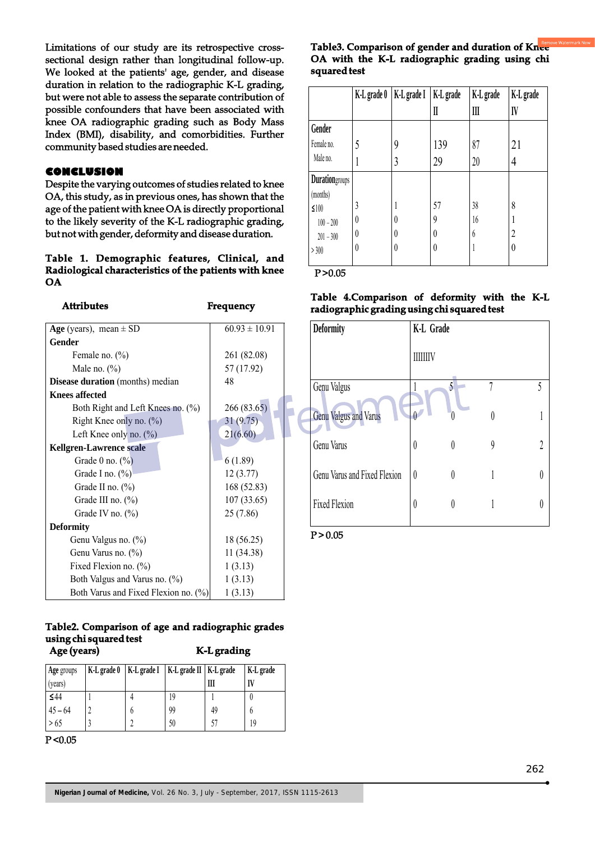Limitations of our study are its retrospective crosssectional design rather than longitudinal follow-up. We looked at the patients' age, gender, and disease duration in relation to the radiographic K-L grading, but were not able to assess the separate contribution of possible confounders that have been associated with knee OA radiographic grading such as Body Mass Index (BMI), disability, and comorbidities. Further community based studies are needed.

#### **CONCLUSION**

Despite the varying outcomes of studies related to knee OA, this study, as in previous ones, has shown that the age of the patient with knee OA is directly proportional to the likely severity of the K-L radiographic grading, but not with gender, deformity and disease duration.

#### **Table 1. Demographic features, Clinical, and Radiological characteristics of the patients with knee OA**

| Attributes                              | Frequency         |  |  |
|-----------------------------------------|-------------------|--|--|
| Age (years), mean $\pm$ SD              | $60.93 \pm 10.91$ |  |  |
| Gender                                  |                   |  |  |
| Female no. $(\%)$                       | 261 (82.08)       |  |  |
| Male no. $(\% )$                        | 57 (17.92)        |  |  |
| <b>Disease duration</b> (months) median | 48                |  |  |
| <b>Knees affected</b>                   |                   |  |  |
| Both Right and Left Knees no. (%)       | 266 (83.65)       |  |  |
| Right Knee only no. (%)                 | 31(9.75)          |  |  |
| Left Knee only no. $(\%)$               | 21(6.60)          |  |  |
| <b>Kellgren-Lawrence scale</b>          |                   |  |  |
| Grade $0$ no. $(\%)$                    | 6(1.89)           |  |  |
| Grade I no. (%)                         | 12(3.77)          |  |  |
| Grade II no. $(\%)$                     | 168 (52.83)       |  |  |
| Grade III no. (%)                       | 107 (33.65)       |  |  |
| Grade IV no. $(\%)$                     | 25 (7.86)         |  |  |
| <b>Deformity</b>                        |                   |  |  |
| Genu Valgus no. (%)                     | 18 (56.25)        |  |  |
| Genu Varus no. (%)                      | 11 (34.38)        |  |  |
| Fixed Flexion no. (%)                   | 1(3.13)           |  |  |
| Both Valgus and Varus no. (%)           | 1(3.13)           |  |  |
| Both Varus and Fixed Flexion no. (%)    | 1(3.13)           |  |  |

#### **Table2. Comparison of age and radiographic grades using chi squared test Age (years) K-L grading**

| Age groups<br>(years) | K-L grade 0 | K-L grade I   K-L grade II   K-L grade | Ш  | K-L grade |
|-----------------------|-------------|----------------------------------------|----|-----------|
| $\leq 44$             |             | 19                                     |    |           |
| $45 - 64$             |             | 99                                     | 49 |           |
| > 65                  |             | 50                                     |    | 19        |

 $P < 0.05$ 

### **Table3. Comparison of gender and duration of Knee OA with the K-L radiographic grading using chi squared test**

|                        | K-L grade 0 | K-L grade I | K-L grade | K-L grade | K-L grade |
|------------------------|-------------|-------------|-----------|-----------|-----------|
|                        |             |             | II        | III       | IV        |
| Gender                 |             |             |           |           |           |
| Female no.             | 5           | 9           | 139       | 87        | 21        |
| Male no.               | I           | 3           | 29        | 20        | 4         |
| <b>Duration</b> groups |             |             |           |           |           |
| (months)               |             |             |           |           |           |
| $\leq 100$             | 3           |             | 57        | 38        | 8         |
| $100 - 200$            | 0           | $\theta$    | 9         | 16        |           |
| $201 - 300$            | $\theta$    | $\theta$    | $\theta$  | 6         | 2         |
| >300                   | 0           | $\theta$    | $\theta$  |           | $\theta$  |

 $P > 0.05$ 

#### **Table 4.Comparison of deformity with the K-L radiographic grading using chi squared test**

| <b>Deformity</b>             | K-L Grade    |   |   |
|------------------------------|--------------|---|---|
|                              | <b>HHIIV</b> |   |   |
| Genu Valgus                  | 5            |   | 5 |
| <b>Genu Valgus and Varus</b> |              |   |   |
| Genu Varus                   | 0            | 9 |   |
| Genu Varus and Fixed Flexion | $\theta$     |   |   |
| <b>Fixed Flexion</b>         | 0            |   |   |

 $P > 0.05$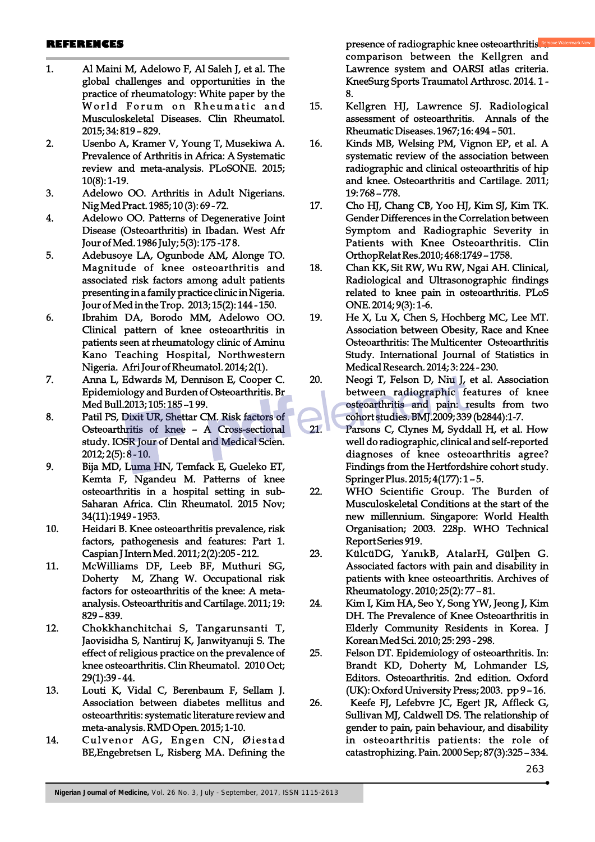#### **REFERENCES**

- 1. Al Maini M, Adelowo F, Al Saleh J, et al. The global challenges and opportunities in the practice of rheumatology: White paper by the World Forum on Rheumatic and Musculoskeletal Diseases. Clin Rheumatol. 2015; 34: 819 – 829.
- 2. Usenbo A, Kramer V, Young T, Musekiwa A. Prevalence of Arthritis in Africa: A Systematic review and meta-analysis. PLoSONE. 2015; 10(8): 1-19.
- 3. Adelowo OO. Arthritis in Adult Nigerians. Nig Med Pract. 1985; 10 (3): 69 - 72.
- 4. Adelowo OO. Patterns of Degenerative Joint Disease (Osteoarthritis) in Ibadan. West Afr Jour of Med. 1986 July; 5(3): 175 -17 8.
- 5. Adebusoye LA, Ogunbode AM, Alonge TO. Magnitude of knee osteoarthritis and associated risk factors among adult patients presenting in a family practice clinic in Nigeria. Jour of Med in the Trop. 2013; 15(2): 144 - 150.
- 6. Ibrahim DA, Borodo MM, Adelowo OO. Clinical pattern of knee osteoarthritis in patients seen at rheumatology clinic of Aminu Kano Teaching Hospital, Northwestern Nigeria. Afri Jour of Rheumatol. 2014; 2(1).
- 7. Anna L, Edwards M, Dennison E, Cooper C. Epidemiology and Burden of Osteoarthritis. Br Med Bull.2013; 105: 185 –1 99.
- 8. Patil PS, Dixit UR, Shettar CM. Risk factors of Osteoarthritis of knee – A Cross-sectional study. IOSR Jour of Dental and Medical Scien. 2012; 2(5): 8 - 10.
- 9. Bija MD, Luma HN, Temfack E, Gueleko ET, Kemta F, Ngandeu M. Patterns of knee osteoarthritis in a hospital setting in sub-Saharan Africa. Clin Rheumatol. 2015 Nov; 34(11):1949 - 1953.
- 10. Heidari B. Knee osteoarthritis prevalence, risk factors, pathogenesis and features: Part 1. Caspian J Intern Med. 2011; 2(2):205 - 212.
- 11. McWilliams DF, Leeb BF, Muthuri SG, Doherty M, Zhang W. Occupational risk factors for osteoarthritis of the knee: A metaanalysis. Osteoarthritis and Cartilage. 2011; 19: 829 – 839.
- 12. Chokkhanchitchai S, Tangarunsanti T, Jaovisidha S, Nantiruj K, Janwityanuji S. The effect of religious practice on the prevalence of knee osteoarthritis. Clin Rheumatol. 2010 Oct; 29(1):39 - 44.
- 13. Louti K, Vidal C, Berenbaum F, Sellam J. Association between diabetes mellitus and osteoarthritis: systematic literature review and meta-analysis. RMD Open. 2015; 1-10.
- 14. Culvenor AG, Engen CN, Øiestad BE,Engebretsen L, Risberg MA. Defining the

presence of radiographic knee osteoarthritis.<sup>Re</sup> comparison between the Kellgren and Lawrence system and OARSI atlas criteria. KneeSurg Sports Traumatol Arthrosc. 2014. 1 - 8.

- 15. Kellgren HJ, Lawrence SJ. Radiological assessment of osteoarthritis. Annals of the Rheumatic Diseases. 1967; 16: 494 – 501.
- 16. Kinds MB, Welsing PM, Vignon EP, et al. A systematic review of the association between radiographic and clinical osteoarthritis of hip and knee. Osteoarthritis and Cartilage. 2011; 19: 768 – 778.
- 17. Cho HJ, Chang CB, Yoo HJ, Kim SJ, Kim TK. Gender Differences in the Correlation between Symptom and Radiographic Severity in Patients with Knee Osteoarthritis. Clin OrthopRelat Res.2010; 468:1749 – 1758.
- 18. Chan KK, Sit RW, Wu RW, Ngai AH. Clinical, Radiological and Ultrasonographic findings related to knee pain in osteoarthritis. PLoS ONE. 2014; 9(3): 1-6.
- 19. He X, Lu X, Chen S, Hochberg MC, Lee MT. Association between Obesity, Race and Knee Osteoarthritis: The Multicenter Osteoarthritis Study. International Journal of Statistics in Medical Research. 2014; 3: 224 - 230.
- 20. Neogi T, Felson D, Niu J, et al. Association between radiographic features of knee osteoarthritis and pain: results from two cohort studies. BMJ.2009; 339 (b2844):1-7.
- 21. Parsons C, Clynes M, Syddall H, et al. How well do radiographic, clinical and self-reported diagnoses of knee osteoarthritis agree? Findings from the Hertfordshire cohort study. Springer Plus. 2015; 4(177): 1 – 5.
- 22. WHO Scientific Group. The Burden of Musculoskeletal Conditions at the start of the new millennium. Singapore: World Health Organisation; 2003. 228p. WHO Technical Report Series 919.
- 23. KülcüDG, YanıkB, AtalarH, Gülþen G. Associated factors with pain and disability in patients with knee osteoarthritis. Archives of Rheumatology. 2010; 25(2): 77 – 81.
- 24. Kim I, Kim HA, Seo Y, Song YW, Jeong J, Kim DH. The Prevalence of Knee Osteoarthritis in Elderly Community Residents in Korea. J Korean Med Sci. 2010; 25: 293 - 298.
- 25. Felson DT. Epidemiology of osteoarthritis. In: Brandt KD, Doherty M, Lohmander LS, Editors. Osteoarthritis. 2nd edition. Oxford (UK): Oxford University Press; 2003. pp 9 – 16.
- 26. Keefe FJ, Lefebvre JC, Egert JR, Affleck G, Sullivan MJ, Caldwell DS. The relationship of gender to pain, pain behaviour, and disability in osteoarthritis patients: the role of catastrophizing. Pain. 2000 Sep; 87(3):325 – 334.